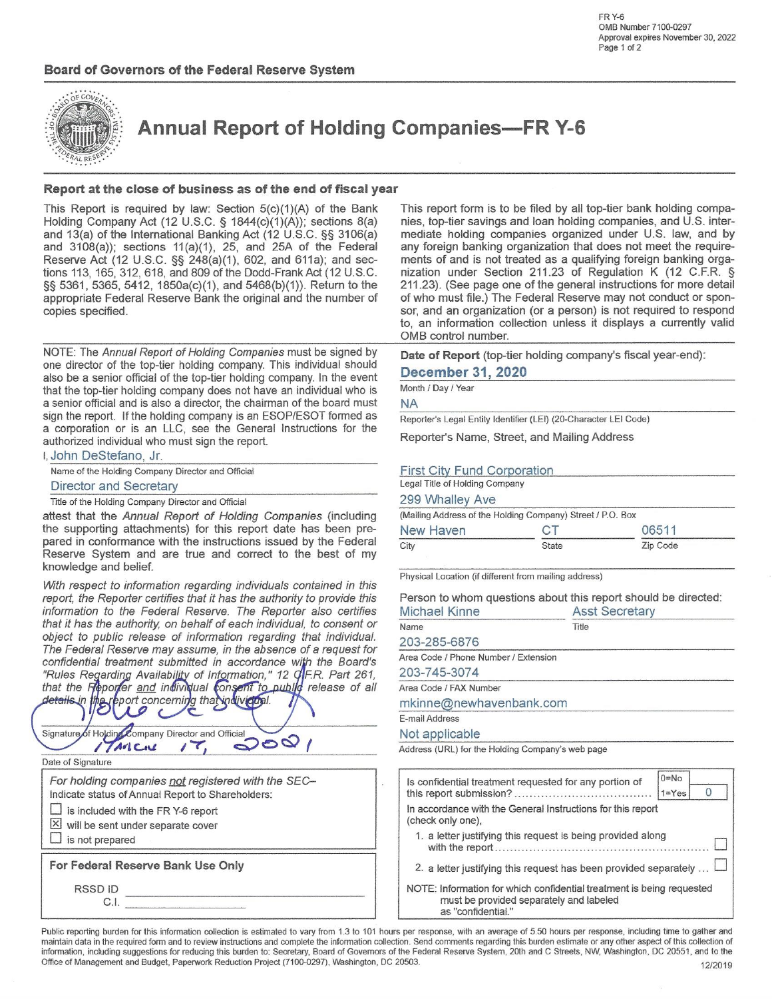

**Annual Report of Holding Companies-FR Y-6** 

## Report at the close of business as of the end of fiscal year

This Report is required by law: Section  $5(c)(1)(A)$  of the Bank Holding Company Act (12 U.S.C. § 1844(c)(1)(A)); sections 8(a) and 13(a) of the International Banking Act (12 U.S.C. §§ 3106(a) and 3108(a)); sections 11(a)(1), 25, and 25A of the Federal Reserve Act (12 U.S.C. §§ 248(a)(1), 602, and 611a); and sections 113, 165, 312, 618, and 809 of the Dodd-Frank Act (12 U.S.C. §§ 5361, 5365, 5412, 1850a(c)(1), and 5468(b)(1)). Return to the appropriate Federal Reserve Bank the original and the number of copies specified.

NOTE: The Annual Report of Holding Companies must be signed by one director of the top-tier holding company. This individual should also be a senior official of the top-tier holding company. In the event that the top-tier holding company does not have an individual who is a senior official and is also a director, the chairman of the board must sign the report. If the holding company is an ESOP/ESOT formed as a corporation or is an LLC, see the General Instructions for the authorized individual who must sign the report.

## I, John DeStefano, Jr.

Name of the Holding Company Director and Official

### Director and Secretary

Title of the Holding Company Director and Official

attest that the Annual Report of Holding Companies (including the supporting attachments) for this report date has been prepared in conformance with the instructions issued by the Federal Reserve System and are true and correct to the best of my knowledge and belief.

With respect to information regarding individuals contained in this report, the Reporter certifies that it has the authority to provide this information to the Federal Reserve. The Reporter also certifies that it has the authority, on behalf of each individual, to consent or object to public release of information regarding that individual. The Federal Reserve may assume, in the absence of a request for confidential treatment submitted in accordance with the Board's "Rules Regarding Availability of Information," 12 GF.R. Part 261, that the Reporter and individual consent to public release of all details in the report concerning that individual.

|  |        | Signature of Holding Company Director and Official |  |  |
|--|--------|----------------------------------------------------|--|--|
|  | Artene |                                                    |  |  |

Date of Signature

For holding companies not registered with the SEC-Indicate status of Annual Report to Shareholders:

- is included with the FR Y-6 report  $\boxed{\times}$  will be sent under separate cover
- 

 $\Box$  is not prepared

For Federal Reserve Bank Use Only

RSSD ID C.I.

This report form is to be filed by all top-tier bank holding companies, top-tier savings and loan holding companies, and U.S. intermediate holding companies organized under U.S. law, and by any foreign banking organization that does not meet the requirements of and is not treated as a qualifying foreign banking organization under Section 211.23 of Regulation K (12 C.F.R. § 211.23). (See page one of the general instructions for more detail of who must file.) The Federal Reserve may not conduct or sponsor, and an organization (or a person) is not required to respond to, an information collection unless it displays a currently valid OMB control number.

Date of Report (top-tier holding company's fiscal year-end):

## **December 31, 2020**

Month / Day / Year

### **NA**

Reporter's Legal Entity Identifier (LEI) (20-Character LEI Code)

Reporter's Name, Street, and Mailing Address

## First City Fund Corporation

Legal Title of Holding Company

### 299 Whalley Ave

(Mailing Address of the Holding Company) Street / P.O. Box New Haven CT 06511

|      | ____  | ----     |
|------|-------|----------|
| City | State | Zip Code |
|      |       |          |

Physical Location (if different from mailing address)

Person to whom questions about this report should be directed:

| <b>Asst Secretary</b>   |  |  |  |
|-------------------------|--|--|--|
| Title                   |  |  |  |
|                         |  |  |  |
|                         |  |  |  |
|                         |  |  |  |
|                         |  |  |  |
| mkinne@newhavenbank.com |  |  |  |
|                         |  |  |  |
|                         |  |  |  |
|                         |  |  |  |

Address (URL) for the Holding Company's web page

| Is confidential treatment requested for any portion of                                                                                 | $0 = No$<br>$1 = Yes$ |
|----------------------------------------------------------------------------------------------------------------------------------------|-----------------------|
| In accordance with the General Instructions for this report<br>(check only one),                                                       |                       |
| 1. a letter justifying this request is being provided along                                                                            |                       |
| 2. a letter justifying this request has been provided separately                                                                       |                       |
| NOTE: Information for which confidential treatment is being requested<br>must be provided separately and labeled<br>as "confidential." |                       |

Public reporting burden for this information collection is estimated to vary from 1.3 to 101 hours per response, with an average of 5.50 hours per response, including time to gather and maintain data in the required form and to review instructions and complete the information collection. Send comments regarding this burden estimate or any other aspect of this collection of information, including suggestions for reducing this burden to: Secretary, Board of Governors of the Federal Reserve System, 20th and C Streets, NW, Washington, DC 20551, and to the Office of Management and Budget, Paperwork Reduction Project (7100-0297), Washington, DC 20503. 12/2019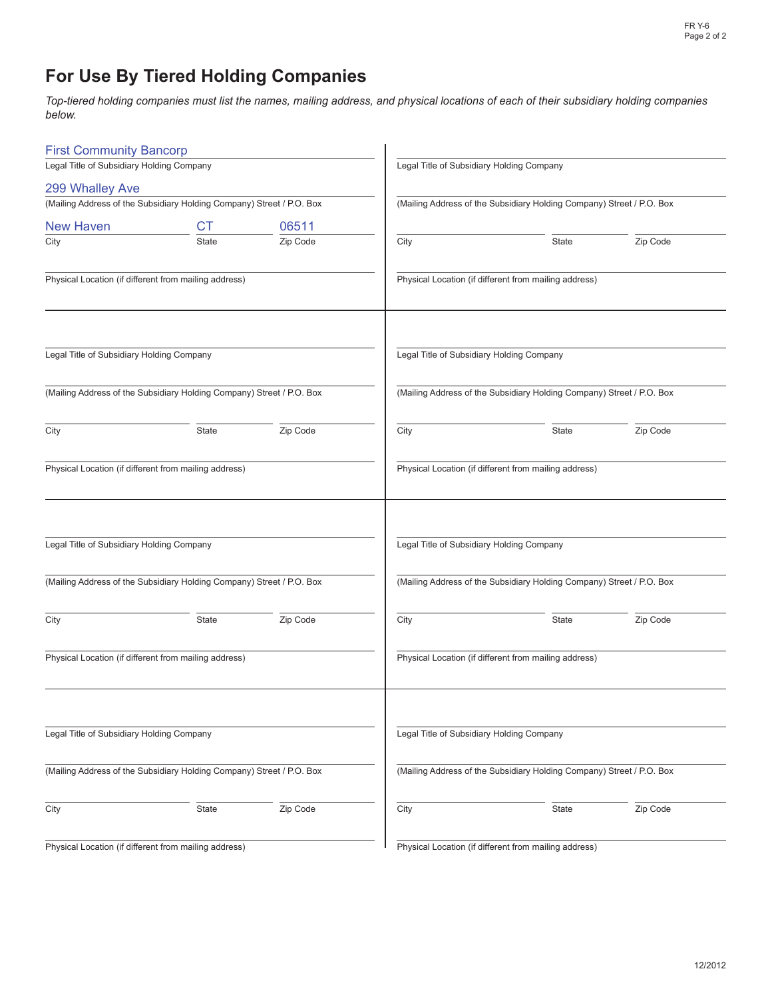# **For Use By Tiered Holding Companies**

*Top-tiered holding companies must list the names, mailing address, and physical locations of each of their subsidiary holding companies below.*

| <b>First Community Bancorp</b>                                        |              |          |                                           |                                                                       |          |
|-----------------------------------------------------------------------|--------------|----------|-------------------------------------------|-----------------------------------------------------------------------|----------|
| Legal Title of Subsidiary Holding Company                             |              |          | Legal Title of Subsidiary Holding Company |                                                                       |          |
| 299 Whalley Ave                                                       |              |          |                                           |                                                                       |          |
| (Mailing Address of the Subsidiary Holding Company) Street / P.O. Box |              |          |                                           | (Mailing Address of the Subsidiary Holding Company) Street / P.O. Box |          |
| <b>New Haven</b>                                                      | СT           | 06511    |                                           |                                                                       |          |
| City                                                                  | <b>State</b> | Zip Code | City                                      | State                                                                 | Zip Code |
| Physical Location (if different from mailing address)                 |              |          |                                           | Physical Location (if different from mailing address)                 |          |
| Legal Title of Subsidiary Holding Company                             |              |          |                                           | Legal Title of Subsidiary Holding Company                             |          |
| (Mailing Address of the Subsidiary Holding Company) Street / P.O. Box |              |          |                                           | (Mailing Address of the Subsidiary Holding Company) Street / P.O. Box |          |
| City                                                                  | State        | Zip Code | City                                      | State                                                                 | Zip Code |
| Physical Location (if different from mailing address)                 |              |          |                                           | Physical Location (if different from mailing address)                 |          |
| Legal Title of Subsidiary Holding Company                             |              |          |                                           | Legal Title of Subsidiary Holding Company                             |          |
| (Mailing Address of the Subsidiary Holding Company) Street / P.O. Box |              |          |                                           | (Mailing Address of the Subsidiary Holding Company) Street / P.O. Box |          |
| City                                                                  | State        | Zip Code | City                                      | State                                                                 | Zip Code |
| Physical Location (if different from mailing address)                 |              |          |                                           | Physical Location (if different from mailing address)                 |          |
| Legal Title of Subsidiary Holding Company                             |              |          |                                           | Legal Title of Subsidiary Holding Company                             |          |
| (Mailing Address of the Subsidiary Holding Company) Street / P.O. Box |              |          |                                           | (Mailing Address of the Subsidiary Holding Company) Street / P.O. Box |          |
| City                                                                  | State        | Zip Code | City                                      | State                                                                 | Zip Code |
| Physical Location (if different from mailing address)                 |              |          |                                           | Physical Location (if different from mailing address)                 |          |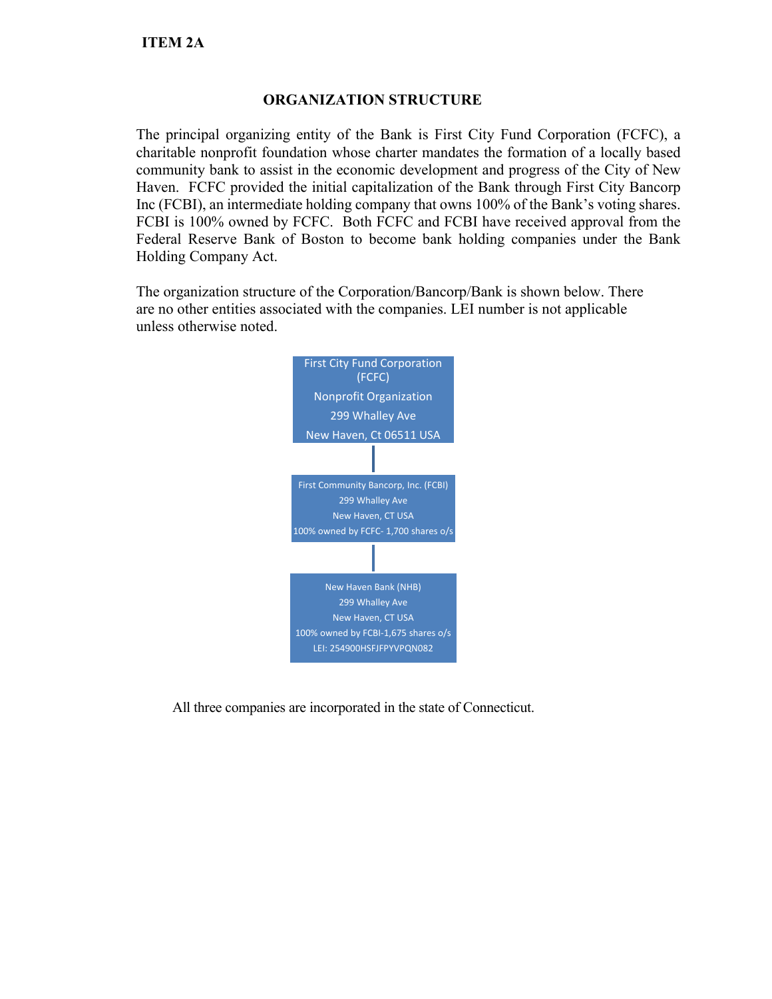# **ORGANIZATION STRUCTURE**

The principal organizing entity of the Bank is First City Fund Corporation (FCFC), a charitable nonprofit foundation whose charter mandates the formation of a locally based community bank to assist in the economic development and progress of the City of New Haven. FCFC provided the initial capitalization of the Bank through First City Bancorp Inc (FCBI), an intermediate holding company that owns 100% of the Bank's voting shares. FCBI is 100% owned by FCFC. Both FCFC and FCBI have received approval from the Federal Reserve Bank of Boston to become bank holding companies under the Bank Holding Company Act.

The organization structure of the Corporation/Bancorp/Bank is shown below. There are no other entities associated with the companies. LEI number is not applicable unless otherwise noted.



All three companies are incorporated in the state of Connecticut.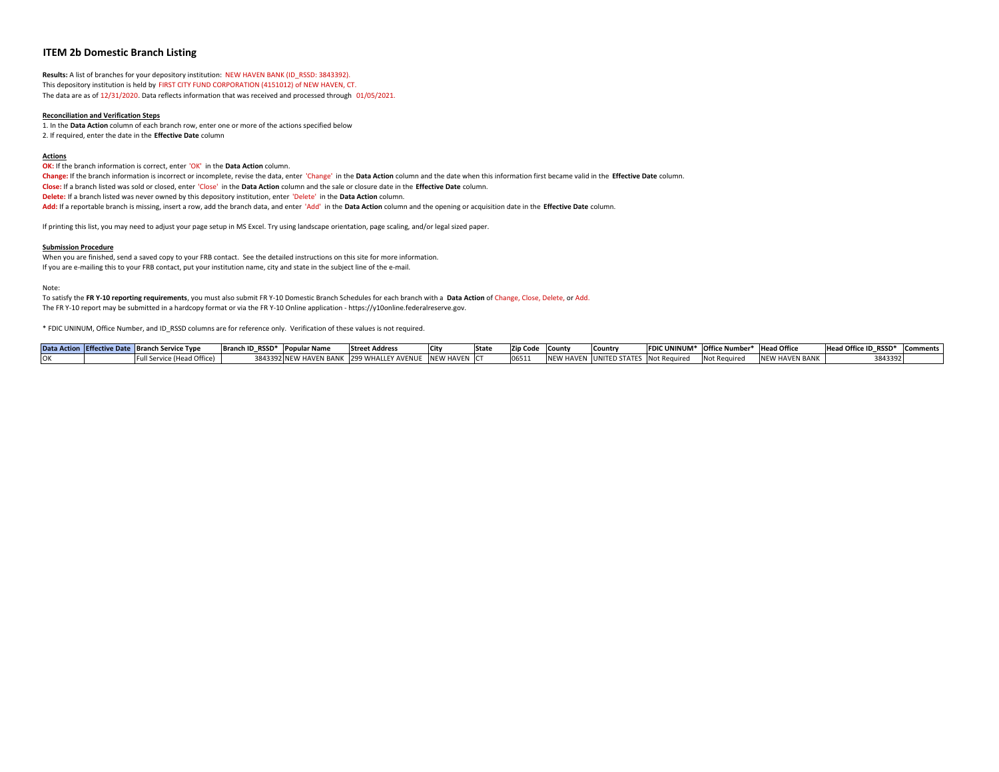### **ITEM 2b Domestic Branch Listing**

**Results:** A list of branches for your depository institution: NEW HAVEN BANK (ID\_RSSD: 3843392). This depository institution is held by FIRST CITY FUND CORPORATION (4151012) of NEW HAVEN, CT. The data are as of 12/31/2020. Data reflects information that was received and processed through 01/05/2021.

#### **Reconciliation and Verification Steps**

1. In the **Data Action** column of each branch row, enter one or more of the actions specified below 2. If required, enter the date in the **Effective Date** column

#### **Actions**

**OK:** If the branch information is correct, enter 'OK' in the **Data Action** column. Change: If the branch information is incorrect or incomplete, revise the data, enter 'Change' in the Data Action column and the date when this information first became valid in the Effective Date column. **Close:** If a branch listed was sold or closed, enter 'Close' in the **Data Action** column and the sale or closure date in the **Effective Date** column. **Delete:** If a branch listed was never owned by this depository institution, enter 'Delete' in the **Data Action** column. **Add:** If a reportable branch is missing, insert <sup>a</sup> row, add the branch data, and enter 'Add' in the **Data Action** column and the opening or acquisition date in the **Effective Date** column.

If printing this list, you may need to adjust your page setup in MS Excel. Try using landscape orientation, page scaling, and/or legal sized paper.

#### **Submission Procedure**

When you are finished, send <sup>a</sup> saved copy to your FRB contact. See the detailed instructions on this site for more information. If you are e-mailing this to your FRB contact, put your institution name, city and state in the subject line of the e-mail.

Note:

To satisfy the FR Y-10 reporting requirements, you must also submit FR Y-10 Domestic Branch Schedules for each branch with a Data Action of Change, Close, Delete, or Add. The FR Y‐10 report may be submitted in <sup>a</sup> hardcopy format or via the FR Y‐10 Online application ‐ https://y10online.federalreserve.gov.

\* FDIC UNINUM, Office Number, and ID\_RSSD columns are for reference only. Verification of these values is not required.

| Data Action Effective Date Branch Service Type |                             | <b>Branch ID RSSD</b> | * Popular Name | <b>Street Address</b>         | <b>City</b> | <b>State</b> | Zip Code | <b>ICounty</b> | <b>Country</b>                |              | <b>FDIC UNINUM*</b> Office Number* Head Office |                                  | Head Office ID RSSD* | Comments |
|------------------------------------------------|-----------------------------|-----------------------|----------------|-------------------------------|-------------|--------------|----------|----------------|-------------------------------|--------------|------------------------------------------------|----------------------------------|----------------------|----------|
|                                                | - Full Service (Head Office | 3843392 NEW           | IEW HAVEN BANK | <b>AVENUE</b><br>. 1299 WHALL | NEW HAVEN C |              |          | י שיו          | CTAT<br><b>IUNITED STATES</b> | Not Required |                                                | <b>HAVEN BANK</b><br><b>INFW</b> | 3843392              |          |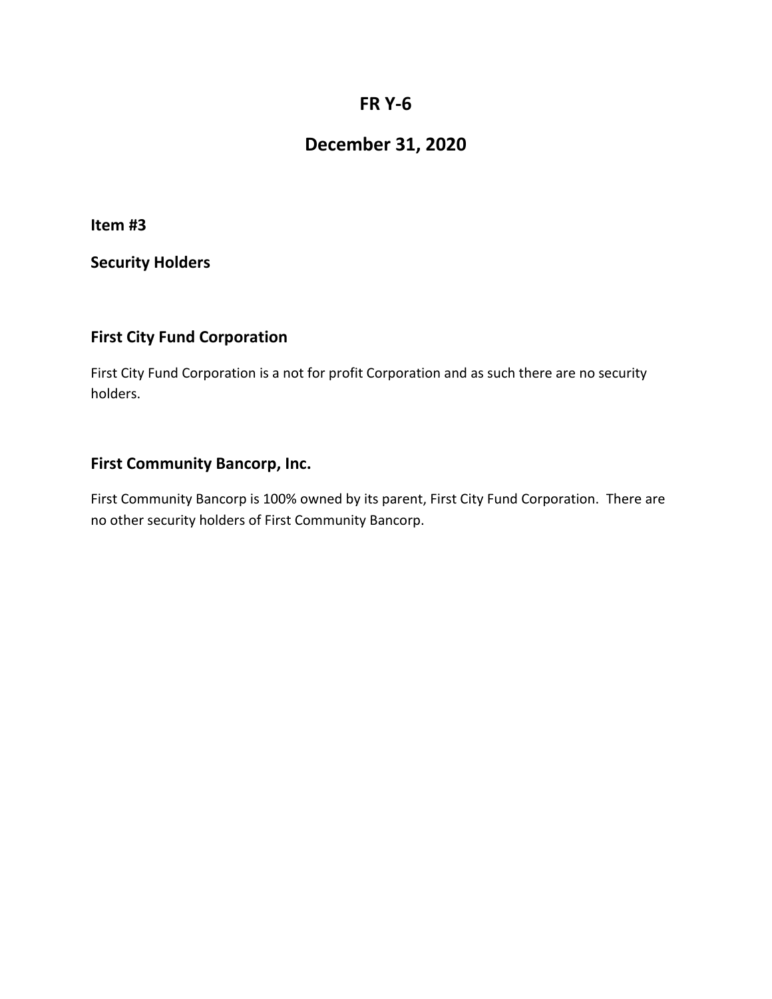# **FR Y‐6**

# **December 31, 2020**

**Item #3**

**Security Holders**

# **First City Fund Corporation**

First City Fund Corporation is a not for profit Corporation and as such there are no security holders.

# **First Community Bancorp, Inc.**

First Community Bancorp is 100% owned by its parent, First City Fund Corporation. There are no other security holders of First Community Bancorp.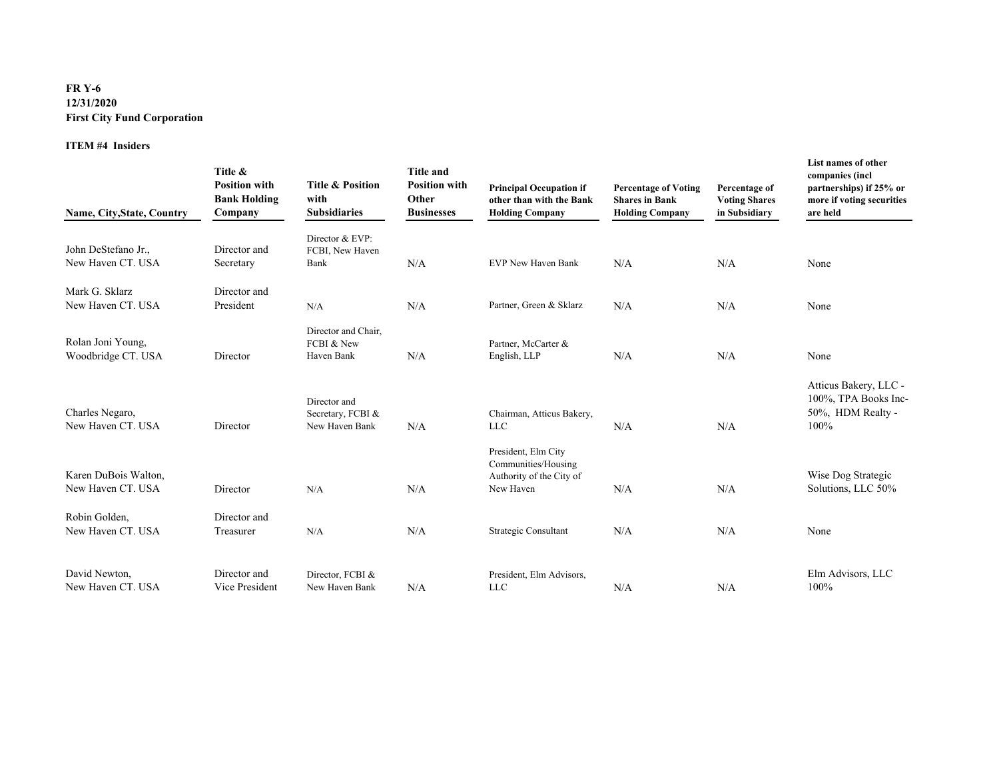## **FR Y-6 12/31/2020 First City Fund Corporation**

### **ITEM #4 Insiders**

| Name, City, State, Country                | Title &<br><b>Position with</b><br><b>Bank Holding</b><br>Company | <b>Title &amp; Position</b><br>with<br><b>Subsidiaries</b> | <b>Title and</b><br><b>Position with</b><br>Other<br><b>Businesses</b> | <b>Principal Occupation if</b><br>other than with the Bank<br><b>Holding Company</b> | <b>Percentage of Voting</b><br><b>Shares in Bank</b><br><b>Holding Company</b> | Percentage of<br><b>Voting Shares</b><br>in Subsidiary | List names of other<br>companies (incl<br>partnerships) if 25% or<br>more if voting securities<br>are held |
|-------------------------------------------|-------------------------------------------------------------------|------------------------------------------------------------|------------------------------------------------------------------------|--------------------------------------------------------------------------------------|--------------------------------------------------------------------------------|--------------------------------------------------------|------------------------------------------------------------------------------------------------------------|
| John DeStefano Jr.,                       | Director and                                                      | Director & EVP:<br>FCBI, New Haven                         |                                                                        |                                                                                      |                                                                                |                                                        |                                                                                                            |
| New Haven CT. USA                         | Secretary                                                         | Bank                                                       | N/A                                                                    | <b>EVP New Haven Bank</b>                                                            | N/A                                                                            | N/A                                                    | None                                                                                                       |
| Mark G. Sklarz                            | Director and                                                      |                                                            |                                                                        |                                                                                      |                                                                                |                                                        |                                                                                                            |
| New Haven CT. USA                         | President                                                         | N/A                                                        | N/A                                                                    | Partner, Green & Sklarz                                                              | N/A                                                                            | N/A                                                    | None                                                                                                       |
| Rolan Joni Young,<br>Woodbridge CT. USA   | Director                                                          | Director and Chair,<br>FCBI & New<br>Haven Bank            | N/A                                                                    | Partner, McCarter &<br>English, LLP                                                  | N/A                                                                            | N/A                                                    | None                                                                                                       |
| Charles Negaro,<br>New Haven CT. USA      | Director                                                          | Director and<br>Secretary, FCBI &<br>New Haven Bank        | N/A                                                                    | Chairman, Atticus Bakery,<br><b>LLC</b>                                              | N/A                                                                            | N/A                                                    | Atticus Bakery, LLC -<br>100%, TPA Books Inc-<br>50%, HDM Realty -<br>100%                                 |
| Karen DuBois Walton,<br>New Haven CT. USA | Director                                                          | N/A                                                        | N/A                                                                    | President, Elm City<br>Communities/Housing<br>Authority of the City of<br>New Haven  | N/A                                                                            | N/A                                                    | Wise Dog Strategic<br>Solutions, LLC 50%                                                                   |
| Robin Golden,<br>New Haven CT. USA        | Director and<br>Treasurer                                         | N/A                                                        | N/A                                                                    | Strategic Consultant                                                                 | N/A                                                                            | N/A                                                    | None                                                                                                       |
| David Newton,<br>New Haven CT. USA        | Director and<br>Vice President                                    | Director, FCBI &<br>New Haven Bank                         | N/A                                                                    | President, Elm Advisors,<br><b>LLC</b>                                               | N/A                                                                            | N/A                                                    | Elm Advisors, LLC<br>100%                                                                                  |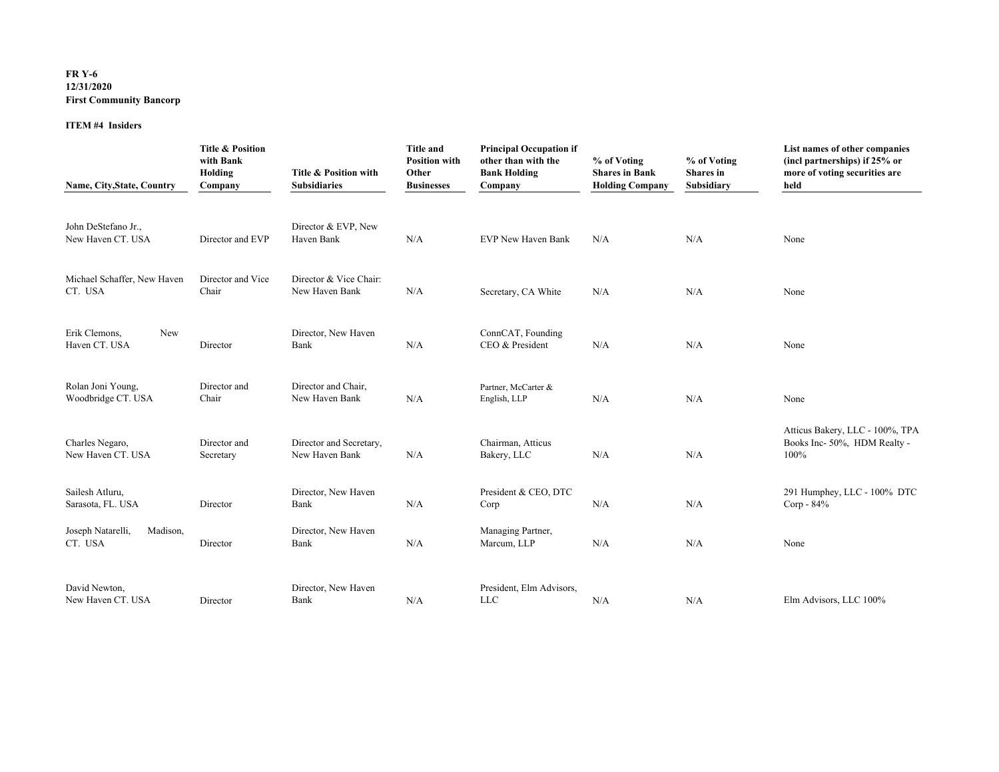## **FR Y-6 12/31/2020 First Community Bancorp**

### **ITEM #4 Insiders**

| Name, City, State, Country               | <b>Title &amp; Position</b><br>with Bank<br>Holding<br>Company | Title & Position with<br><b>Subsidiaries</b> | <b>Title and</b><br><b>Position with</b><br>Other<br><b>Businesses</b> | <b>Principal Occupation if</b><br>other than with the<br><b>Bank Holding</b><br>Company | % of Voting<br><b>Shares in Bank</b><br><b>Holding Company</b> | % of Voting<br><b>Shares</b> in<br>Subsidiary | List names of other companies<br>(incl partnerships) if 25% or<br>more of voting securities are<br>held |
|------------------------------------------|----------------------------------------------------------------|----------------------------------------------|------------------------------------------------------------------------|-----------------------------------------------------------------------------------------|----------------------------------------------------------------|-----------------------------------------------|---------------------------------------------------------------------------------------------------------|
| John DeStefano Jr.,<br>New Haven CT. USA | Director and EVP                                               | Director & EVP, New<br>Haven Bank            | N/A                                                                    | EVP New Haven Bank                                                                      | N/A                                                            | N/A                                           | None                                                                                                    |
| Michael Schaffer, New Haven<br>CT. USA   | Director and Vice<br>Chair                                     | Director & Vice Chair:<br>New Haven Bank     | N/A                                                                    | Secretary, CA White                                                                     | N/A                                                            | N/A                                           | None                                                                                                    |
| Erik Clemons,<br>New<br>Haven CT. USA    | Director                                                       | Director, New Haven<br>Bank                  | N/A                                                                    | ConnCAT, Founding<br>CEO & President                                                    | N/A                                                            | N/A                                           | None                                                                                                    |
| Rolan Joni Young,<br>Woodbridge CT. USA  | Director and<br>Chair                                          | Director and Chair,<br>New Haven Bank        | N/A                                                                    | Partner, McCarter &<br>English, LLP                                                     | N/A                                                            | N/A                                           | None                                                                                                    |
| Charles Negaro,<br>New Haven CT. USA     | Director and<br>Secretary                                      | Director and Secretary,<br>New Haven Bank    | N/A                                                                    | Chairman, Atticus<br>Bakery, LLC                                                        | N/A                                                            | N/A                                           | Atticus Bakery, LLC - 100%, TPA<br>Books Inc- 50%, HDM Realty -<br>100%                                 |
| Sailesh Atluru,<br>Sarasota, FL. USA     | Director                                                       | Director, New Haven<br>Bank                  | N/A                                                                    | President & CEO, DTC<br>Corp                                                            | N/A                                                            | N/A                                           | 291 Humphey, LLC - 100% DTC<br>Corp - $84\%$                                                            |
| Joseph Natarelli,<br>Madison,<br>CT. USA | Director                                                       | Director, New Haven<br>Bank                  | N/A                                                                    | Managing Partner,<br>Marcum, LLP                                                        | N/A                                                            | N/A                                           | None                                                                                                    |
| David Newton,<br>New Haven CT. USA       | Director                                                       | Director, New Haven<br>Bank                  | N/A                                                                    | President, Elm Advisors,<br><b>LLC</b>                                                  | N/A                                                            | N/A                                           | Elm Advisors, LLC 100%                                                                                  |